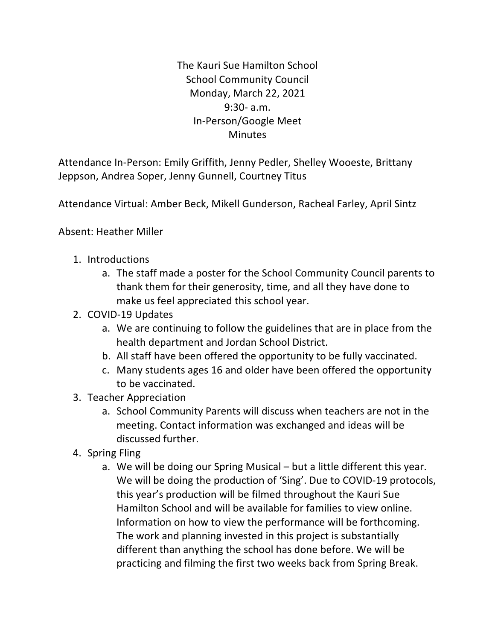The Kauri Sue Hamilton School **School Community Council** Monday, March 22, 2021 9:30- a.m. In-Person/Google Meet **Minutes** 

Attendance In-Person: Emily Griffith, Jenny Pedler, Shelley Wooeste, Brittany Jeppson, Andrea Soper, Jenny Gunnell, Courtney Titus

Attendance Virtual: Amber Beck, Mikell Gunderson, Racheal Farley, April Sintz

Absent: Heather Miller

- 1. Introductions
	- a. The staff made a poster for the School Community Council parents to thank them for their generosity, time, and all they have done to make us feel appreciated this school year.
- 2. COVID-19 Updates
	- a. We are continuing to follow the guidelines that are in place from the health department and Jordan School District.
	- b. All staff have been offered the opportunity to be fully vaccinated.
	- c. Many students ages 16 and older have been offered the opportunity to be vaccinated.
- 3. Teacher Appreciation
	- a. School Community Parents will discuss when teachers are not in the meeting. Contact information was exchanged and ideas will be discussed further.
- 4. Spring Fling
	- a. We will be doing our Spring Musical  $-$  but a little different this year. We will be doing the production of 'Sing'. Due to COVID-19 protocols, this year's production will be filmed throughout the Kauri Sue Hamilton School and will be available for families to view online. Information on how to view the performance will be forthcoming. The work and planning invested in this project is substantially different than anything the school has done before. We will be practicing and filming the first two weeks back from Spring Break.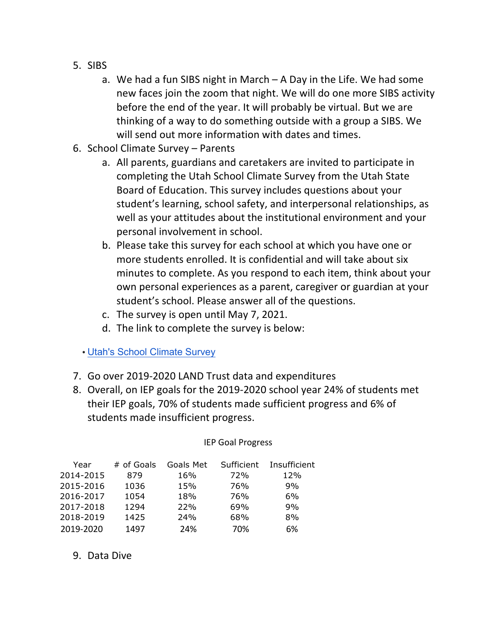- 5. SIBS
	- a. We had a fun SIBS night in March  $-$  A Day in the Life. We had some new faces join the zoom that night. We will do one more SIBS activity before the end of the year. It will probably be virtual. But we are thinking of a way to do something outside with a group a SIBS. We will send out more information with dates and times.
- 6. School Climate Survey Parents
	- a. All parents, guardians and caretakers are invited to participate in completing the Utah School Climate Survey from the Utah State Board of Education. This survey includes questions about your student's learning, school safety, and interpersonal relationships, as well as your attitudes about the institutional environment and your personal involvement in school.
	- b. Please take this survey for each school at which you have one or more students enrolled. It is confidential and will take about six minutes to complete. As you respond to each item, think about your own personal experiences as a parent, caregiver or guardian at your student's school. Please answer all of the questions.
	- c. The survey is open until May 7, 2021.
	- d. The link to complete the survey is below:

## • Utah's School Climate Survey

- 7. Go over 2019-2020 LAND Trust data and expenditures
- 8. Overall, on IEP goals for the 2019-2020 school year 24% of students met their IEP goals, 70% of students made sufficient progress and 6% of students made insufficient progress.

 IEP Goal Progress

| Year      | # of Goals | Goals Met | Sufficient | Insufficient |
|-----------|------------|-----------|------------|--------------|
| 2014-2015 | 879        | 16%       | 72%        | 12%          |
| 2015-2016 | 1036       | 15%       | 76%        | 9%           |
| 2016-2017 | 1054       | 18%       | 76%        | 6%           |
| 2017-2018 | 1294       | 22%       | 69%        | 9%           |
| 2018-2019 | 1425       | 24%       | 68%        | 8%           |
| 2019-2020 | 1497       | 24%       | 70%        | 6%           |

9. Data Dive